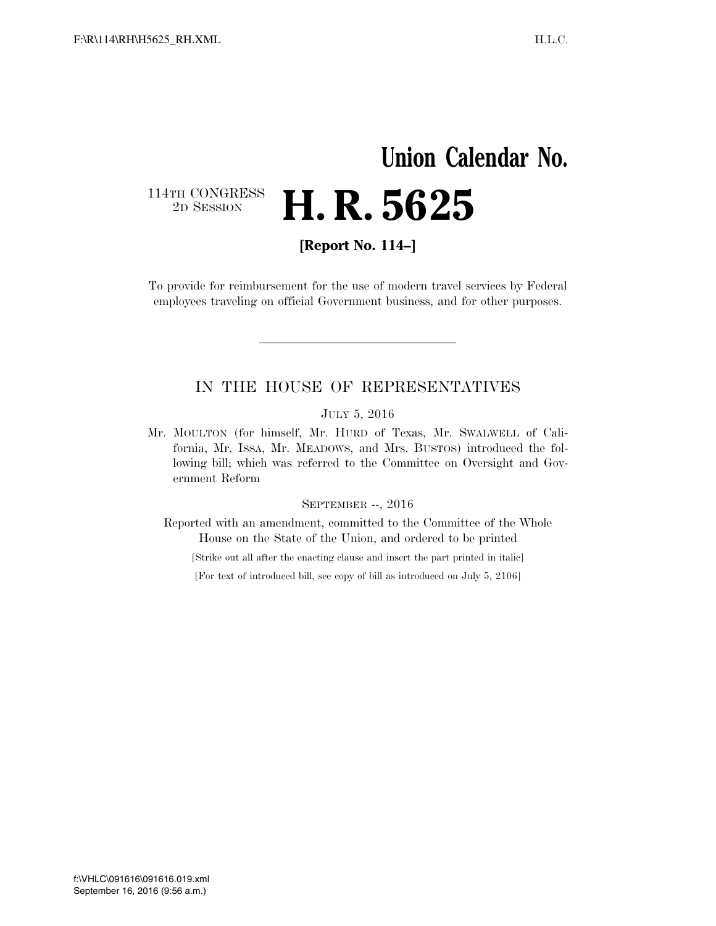# **Union Calendar No.**  114TH CONGRESS<br>2D SESSION 2D SESSION **H. R. 5625**

**[Report No. 114–]** 

To provide for reimbursement for the use of modern travel services by Federal employees traveling on official Government business, and for other purposes.

### IN THE HOUSE OF REPRESENTATIVES

#### JULY 5, 2016

Mr. MOULTON (for himself, Mr. HURD of Texas, Mr. SWALWELL of California, Mr. ISSA, Mr. MEADOWS, and Mrs. BUSTOS) introduced the following bill; which was referred to the Committee on Oversight and Government Reform

#### SEPTEMBER --, 2016

Reported with an amendment, committed to the Committee of the Whole House on the State of the Union, and ordered to be printed

[Strike out all after the enacting clause and insert the part printed in italic]

[For text of introduced bill, see copy of bill as introduced on July 5, 2106]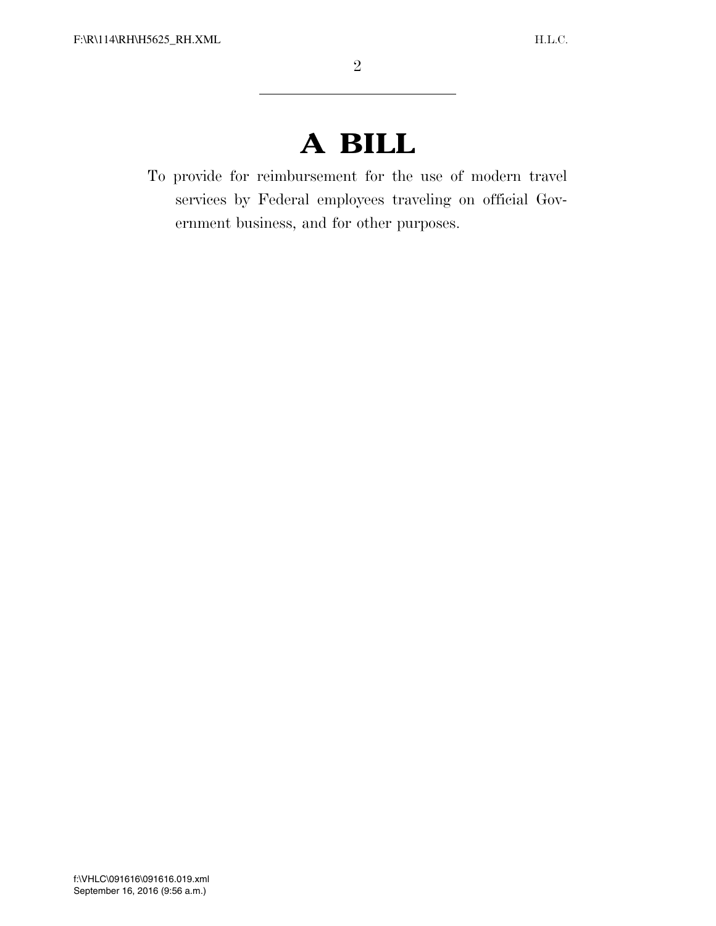# **A BILL**

To provide for reimbursement for the use of modern travel services by Federal employees traveling on official Government business, and for other purposes.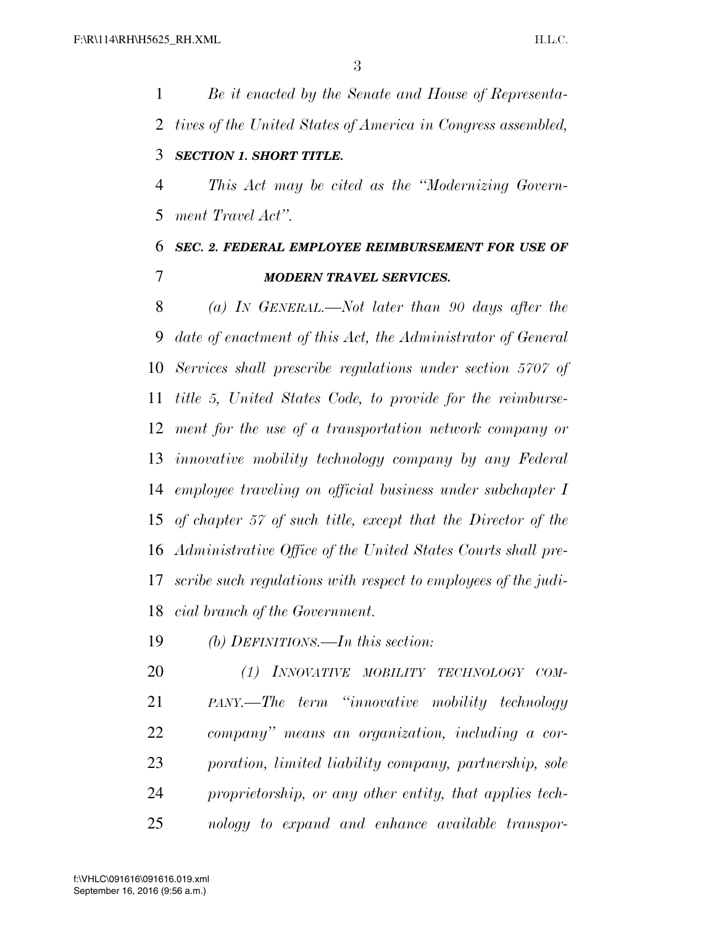*Be it enacted by the Senate and House of Representa- tives of the United States of America in Congress assembled, SECTION 1. SHORT TITLE. This Act may be cited as the ''Modernizing Govern-*

*ment Travel Act''.* 

## *SEC. 2. FEDERAL EMPLOYEE REIMBURSEMENT FOR USE OF MODERN TRAVEL SERVICES.*

 *(a) IN GENERAL.—Not later than 90 days after the date of enactment of this Act, the Administrator of General Services shall prescribe regulations under section 5707 of title 5, United States Code, to provide for the reimburse- ment for the use of a transportation network company or innovative mobility technology company by any Federal employee traveling on official business under subchapter I of chapter 57 of such title, except that the Director of the Administrative Office of the United States Courts shall pre- scribe such regulations with respect to employees of the judi-cial branch of the Government.* 

*(b) DEFINITIONS.—In this section:* 

 *(1) INNOVATIVE MOBILITY TECHNOLOGY COM- PANY.—The term ''innovative mobility technology company'' means an organization, including a cor- poration, limited liability company, partnership, sole proprietorship, or any other entity, that applies tech-nology to expand and enhance available transpor-*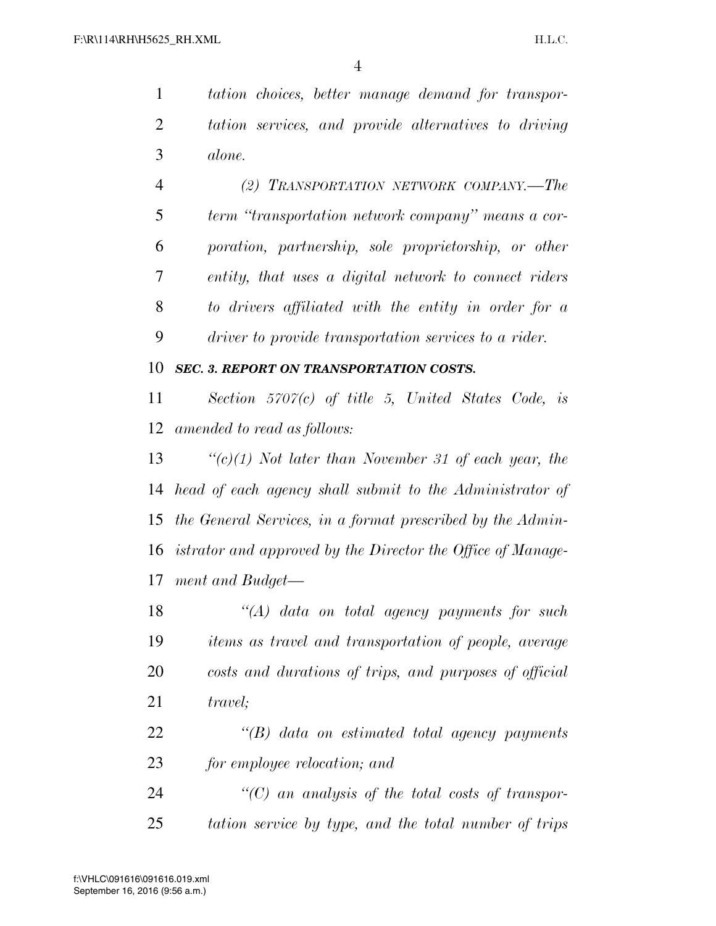*tation choices, better manage demand for transpor- tation services, and provide alternatives to driving alone.* 

 *(2) TRANSPORTATION NETWORK COMPANY.—The term ''transportation network company'' means a cor- poration, partnership, sole proprietorship, or other entity, that uses a digital network to connect riders to drivers affiliated with the entity in order for a driver to provide transportation services to a rider.* 

### *SEC. 3. REPORT ON TRANSPORTATION COSTS.*

 *Section 5707(c) of title 5, United States Code, is amended to read as follows:* 

 *''(c)(1) Not later than November 31 of each year, the head of each agency shall submit to the Administrator of the General Services, in a format prescribed by the Admin- istrator and approved by the Director the Office of Manage-ment and Budget—* 

 *''(A) data on total agency payments for such items as travel and transportation of people, average costs and durations of trips, and purposes of official travel;* 

 *''(B) data on estimated total agency payments for employee relocation; and* 

 *''(C) an analysis of the total costs of transpor-tation service by type, and the total number of trips*